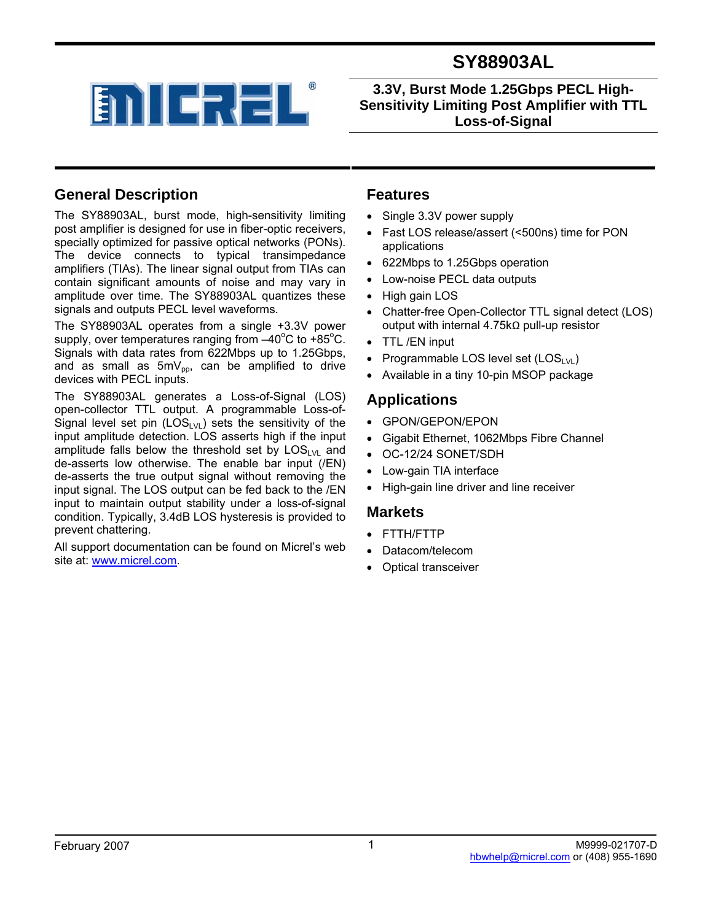



**3.3V, Burst Mode 1.25Gbps PECL High-Sensitivity Limiting Post Amplifier with TTL Loss-of-Signal** 

### **General Description**

The SY88903AL, burst mode, high-sensitivity limiting post amplifier is designed for use in fiber-optic receivers, specially optimized for passive optical networks (PONs). The device connects to typical transimpedance amplifiers (TIAs). The linear signal output from TIAs can contain significant amounts of noise and may vary in amplitude over time. The SY88903AL quantizes these signals and outputs PECL level waveforms.

The SY88903AL operates from a single +3.3V power supply, over temperatures ranging from  $-40^{\circ}$ C to +85 $^{\circ}$ C. Signals with data rates from 622Mbps up to 1.25Gbps, and as small as  $5mV_{\text{po}}$ , can be amplified to drive devices with PECL inputs.

The SY88903AL generates a Loss-of-Signal (LOS) open-collector TTL output. A programmable Loss-of-Signal level set pin  $(LOS_{LVL})$  sets the sensitivity of the input amplitude detection. LOS asserts high if the input amplitude falls below the threshold set by  $LOS_{LVL}$  and de-asserts low otherwise. The enable bar input (/EN) de-asserts the true output signal without removing the input signal. The LOS output can be fed back to the /EN input to maintain output stability under a loss-of-signal condition. Typically, 3.4dB LOS hysteresis is provided to prevent chattering.

All support documentation can be found on Micrel's web site at: www.micrel.com.

### **Features**

- Single 3.3V power supply
- Fast LOS release/assert (<500ns) time for PON applications
- 622Mbps to 1.25Gbps operation
- Low-noise PECL data outputs
- High gain LOS
- Chatter-free Open-Collector TTL signal detect (LOS) output with internal 4.75kΩ pull-up resistor
- TTL /EN input
- Programmable LOS level set  $(LOS_{LVL})$
- Available in a tiny 10-pin MSOP package

### **Applications**

- GPON/GEPON/EPON
- Gigabit Ethernet, 1062Mbps Fibre Channel
- OC-12/24 SONET/SDH
- Low-gain TIA interface
- High-gain line driver and line receiver

#### **Markets**

- FTTH/FTTP
- Datacom/telecom
- Optical transceiver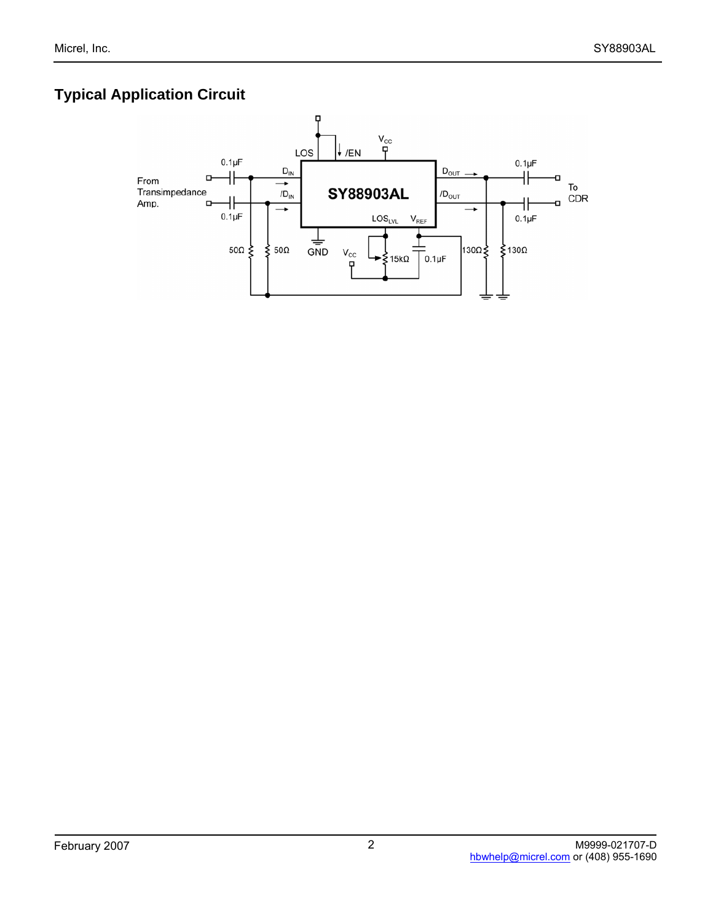# **Typical Application Circuit**

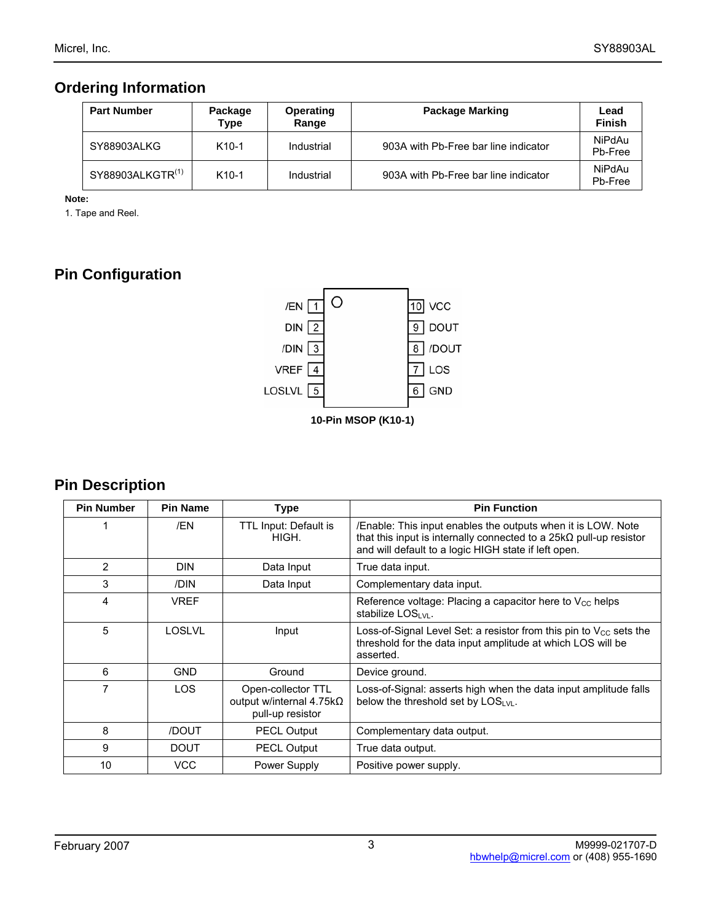## **Ordering Information**

| <b>Part Number</b>           | Package<br>Type | Operating<br>Range | <b>Package Marking</b>               | Lead<br><b>Finish</b> |
|------------------------------|-----------------|--------------------|--------------------------------------|-----------------------|
| SY88903ALKG                  | $K10-1$         | Industrial         | 903A with Pb-Free bar line indicator | NiPdAu<br>Pb-Free     |
| SY88903ALKGTR <sup>(1)</sup> | $K10-1$         | Industrial         | 903A with Pb-Free bar line indicator | NiPdAu<br>Pb-Free     |

**Note:** 

1. Tape and Reel.

# **Pin Configuration**



## **Pin Description**

| <b>Pin Number</b> | <b>Pin Name</b> | <b>Type</b>                                                        | <b>Pin Function</b>                                                                                                                                                                               |
|-------------------|-----------------|--------------------------------------------------------------------|---------------------------------------------------------------------------------------------------------------------------------------------------------------------------------------------------|
|                   | /EN             | TTL Input: Default is<br>HIGH.                                     | /Enable: This input enables the outputs when it is LOW. Note<br>that this input is internally connected to a $25k\Omega$ pull-up resistor<br>and will default to a logic HIGH state if left open. |
| 2                 | <b>DIN</b>      | Data Input                                                         | True data input.                                                                                                                                                                                  |
| 3                 | /DIN            | Data Input                                                         | Complementary data input.                                                                                                                                                                         |
| 4                 | <b>VREF</b>     |                                                                    | Reference voltage: Placing a capacitor here to $V_{\rm CC}$ helps<br>stabilize $LOS1$ <sub>VI</sub> .                                                                                             |
| 5                 | <b>LOSLVL</b>   | Input                                                              | Loss-of-Signal Level Set: a resistor from this pin to $V_{CC}$ sets the<br>threshold for the data input amplitude at which LOS will be<br>asserted.                                               |
| 6                 | GND             | Ground                                                             | Device ground.                                                                                                                                                                                    |
| 7                 | LOS.            | Open-collector TTL<br>output w/internal 4.75kΩ<br>pull-up resistor | Loss-of-Signal: asserts high when the data input amplitude falls<br>below the threshold set by $LOSLM$ .                                                                                          |
| 8                 | /DOUT           | <b>PECL Output</b><br>Complementary data output.                   |                                                                                                                                                                                                   |
| 9                 | <b>DOUT</b>     | <b>PECL Output</b>                                                 | True data output.                                                                                                                                                                                 |
| 10                | <b>VCC</b>      | Power Supply                                                       | Positive power supply.                                                                                                                                                                            |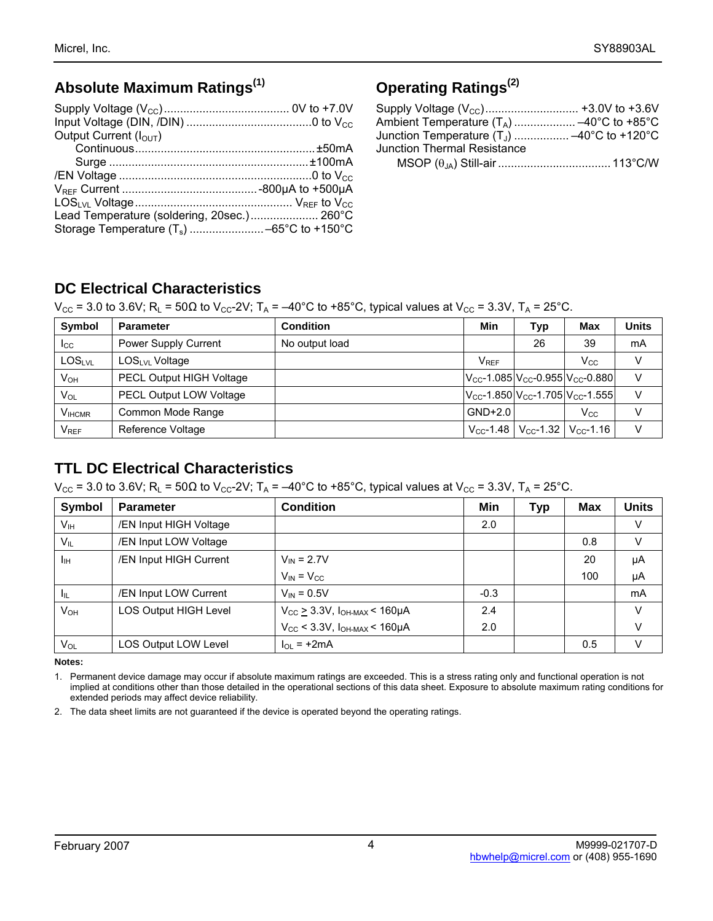## **Absolute Maximum Ratings(1)**

| Output Current $(IOUT)$                    |  |
|--------------------------------------------|--|
|                                            |  |
|                                            |  |
|                                            |  |
|                                            |  |
|                                            |  |
| Lead Temperature (soldering, 20sec.) 260°C |  |
|                                            |  |

## **Operating Ratings(2)**

| Junction Temperature $(T_1)$ -40°C to +120°C |  |
|----------------------------------------------|--|
| <b>Junction Thermal Resistance</b>           |  |
|                                              |  |

## **DC Electrical Characteristics**

 $V_{CC}$  = 3.0 to 3.6V; R<sub>L</sub> = 50Ω to V<sub>CC</sub>-2V; T<sub>A</sub> = -40°C to +85°C, typical values at V<sub>CC</sub> = 3.3V, T<sub>A</sub> = 25°C.

| Symbol        | <b>Parameter</b>                | <b>Condition</b> | Min         | Тур                                                                   | Max                                                                  | Units |
|---------------|---------------------------------|------------------|-------------|-----------------------------------------------------------------------|----------------------------------------------------------------------|-------|
| $_{\rm{ICC}}$ | Power Supply Current            | No output load   |             | 26                                                                    | 39                                                                   | mA    |
| <b>LOSLVL</b> | LOSL <sub>VL</sub> Voltage      |                  | <b>VREF</b> |                                                                       | Vcc                                                                  |       |
| $V_{OH}$      | <b>PECL Output HIGH Voltage</b> |                  |             |                                                                       | $V_{\text{CC}}$ -1.085 $V_{\text{CC}}$ -0.955 $V_{\text{CC}}$ -0.880 | V     |
| VOL           | <b>PECL Output LOW Voltage</b>  |                  |             |                                                                       | $V_{CC}$ -1.850 $V_{CC}$ -1.705 $V_{CC}$ -1.555                      | V     |
| <b>VIHCMR</b> | Common Mode Range               |                  | $GND+2.0$   |                                                                       | $V_{\rm CC}$                                                         |       |
| $V_{REF}$     | Reference Voltage               |                  |             | $V_{\text{CC}}$ -1.48   $V_{\text{CC}}$ -1.32   $V_{\text{CC}}$ -1.16 |                                                                      | V     |

## **TTL DC Electrical Characteristics**

 $V_{CC}$  = 3.0 to 3.6V; R<sub>L</sub> = 50Ω to V<sub>CC</sub>-2V; T<sub>A</sub> = -40°C to +85°C, typical values at V<sub>CC</sub> = 3.3V, T<sub>A</sub> = 25°C.

| Symbol          | <b>Parameter</b>             | <b>Condition</b>                           | Min    | Тур | Max | <b>Units</b> |
|-----------------|------------------------------|--------------------------------------------|--------|-----|-----|--------------|
| V <sub>IH</sub> | /EN Input HIGH Voltage       |                                            | 2.0    |     |     | V            |
| $V_{IL}$        | /EN Input LOW Voltage        |                                            |        |     | 0.8 | v            |
| Jıн             | /EN Input HIGH Current       | $V_{IN} = 2.7V$                            |        |     | 20  | μA           |
|                 |                              | $V_{IN} = V_{CC}$                          |        |     | 100 | μA           |
| ĿЩ              | /EN Input LOW Current        | $V_{IN} = 0.5V$                            | $-0.3$ |     |     | mA           |
| V <sub>он</sub> | <b>LOS Output HIGH Level</b> | $V_{CC}$ $\geq$ 3.3V, $I_{OH-MAX}$ < 160µA | 2.4    |     |     | V            |
|                 |                              | $V_{CC}$ < 3.3V, $I_{OH-MAX}$ < 160µA      | 2.0    |     |     | V            |
| VOL             | LOS Output LOW Level         | $\ln = +2mA$                               |        |     | 0.5 | V            |

**Notes:** 

1. Permanent device damage may occur if absolute maximum ratings are exceeded. This is a stress rating only and functional operation is not implied at conditions other than those detailed in the operational sections of this data sheet. Exposure to absolute maximum rating conditions for extended periods may affect device reliability.

2. The data sheet limits are not guaranteed if the device is operated beyond the operating ratings.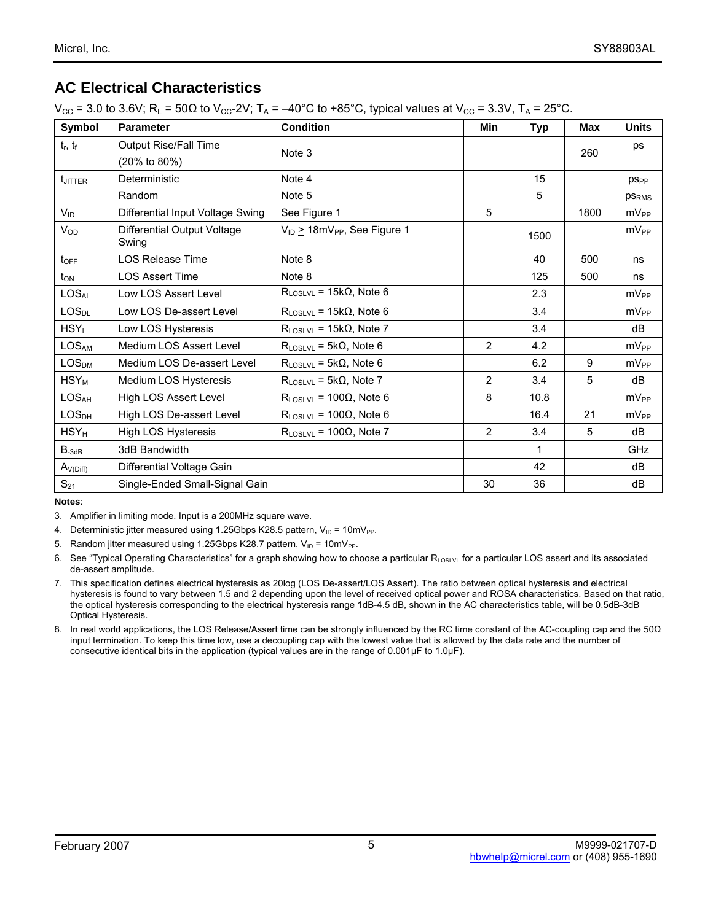## **AC Electrical Characteristics**

 $V_{CC}$  = 3.0 to 3.6V; R<sub>L</sub> = 50Ω to V<sub>CC</sub>-2V; T<sub>A</sub> = -40°C to +85°C, typical values at V<sub>CC</sub> = 3.3V, T<sub>A</sub> = 25°C.

| Symbol            | <b>Parameter</b>                     | <b>Condition</b>                             | Min            | <b>Typ</b> | Max  | <b>Units</b>           |
|-------------------|--------------------------------------|----------------------------------------------|----------------|------------|------|------------------------|
| $t_r$ , $t_f$     | Output Rise/Fall Time                | Note 3                                       |                |            | 260  | ps                     |
|                   | (20% to 80%)                         |                                              |                |            |      |                        |
| tJITTER           | Deterministic                        | Note 4                                       |                | 15         |      | <b>pS<sub>PP</sub></b> |
|                   | Random                               | Note 5                                       |                | 5          |      | <b>PSRMS</b>           |
| $V_{ID}$          | Differential Input Voltage Swing     | See Figure 1                                 | 5              |            | 1800 | $mV_{PP}$              |
| $V_{OD}$          | Differential Output Voltage<br>Swing | $V_{ID}$ > 18mV <sub>PP</sub> , See Figure 1 |                | 1500       |      | $mV_{PP}$              |
| toff              | <b>LOS Release Time</b>              | Note 8                                       |                | 40         | 500  | ns                     |
| $t_{ON}$          | <b>LOS Assert Time</b>               | Note 8                                       |                | 125        | 500  | ns                     |
| <b>LOSAL</b>      | Low LOS Assert Level                 | $R_{\text{LOSLVL}} = 15k\Omega$ , Note 6     |                | 2.3        |      | mV <sub>PP</sub>       |
| LOS <sub>DL</sub> | Low LOS De-assert Level              | $R_{\text{LOSLVL}}$ = 15k $\Omega$ , Note 6  |                | 3.4        |      | $mV_{PP}$              |
| $HSY_L$           | Low LOS Hysteresis                   | $R_{\text{LOSLVL}}$ = 15k $\Omega$ , Note 7  |                | 3.4        |      | dB                     |
| <b>LOSAM</b>      | Medium LOS Assert Level              | $R_{\text{LOSLVL}}$ = 5k $\Omega$ , Note 6   | $\overline{2}$ | 4.2        |      | $mV_{PP}$              |
| LOS <sub>DM</sub> | Medium LOS De-assert Level           | $R_{\text{LOSLVL}}$ = 5k $\Omega$ , Note 6   |                | 6.2        | 9    | $mV_{PP}$              |
| $HSY_M$           | Medium LOS Hysteresis                | $R_{\text{LOSLVL}}$ = 5k $\Omega$ , Note 7   | 2              | 3.4        | 5    | dВ                     |
| LOS <sub>AH</sub> | High LOS Assert Level                | $R_{\text{LOSI VI}}$ = 100 $\Omega$ , Note 6 | 8              | 10.8       |      | $mV_{PP}$              |
| LOS <sub>DH</sub> | High LOS De-assert Level             | $R_{\text{LOSLVL}}$ = 100 $\Omega$ , Note 6  |                | 16.4       | 21   | $mV_{PP}$              |
| $HSY_H$           | High LOS Hysteresis                  | $R_{\text{LOSLVL}}$ = 100 $\Omega$ , Note 7  | $\overline{2}$ | 3.4        | 5    | dB                     |
| $B_{-3dB}$        | 3dB Bandwidth                        |                                              |                | 1          |      | GHz                    |
| $A_{V(Diff)}$     | Differential Voltage Gain            |                                              |                | 42         |      | dB                     |
| $S_{21}$          | Single-Ended Small-Signal Gain       |                                              | 30             | 36         |      | dB                     |

**Notes**:

3. Amplifier in limiting mode. Input is a 200MHz square wave.

4. Deterministic jitter measured using 1.25Gbps K28.5 pattern,  $V_{ID} = 10 \text{mV}_{PP}$ .

5. Random jitter measured using 1.25Gbps K28.7 pattern,  $V_{ID} = 10 \text{mV}_{PP}$ .

6. See "Typical Operating Characteristics" for a graph showing how to choose a particular  $R_{\text{LOSIV}}$  for a particular LOS assert and its associated de-assert amplitude.

- 7. This specification defines electrical hysteresis as 20log (LOS De-assert/LOS Assert). The ratio between optical hysteresis and electrical hysteresis is found to vary between 1.5 and 2 depending upon the level of received optical power and ROSA characteristics. Based on that ratio, the optical hysteresis corresponding to the electrical hysteresis range 1dB-4.5 dB, shown in the AC characteristics table, will be 0.5dB-3dB Optical Hysteresis.
- 8. In real world applications, the LOS Release/Assert time can be strongly influenced by the RC time constant of the AC-coupling cap and the 50Ω input termination. To keep this time low, use a decoupling cap with the lowest value that is allowed by the data rate and the number of consecutive identical bits in the application (typical values are in the range of 0.001µF to 1.0µF).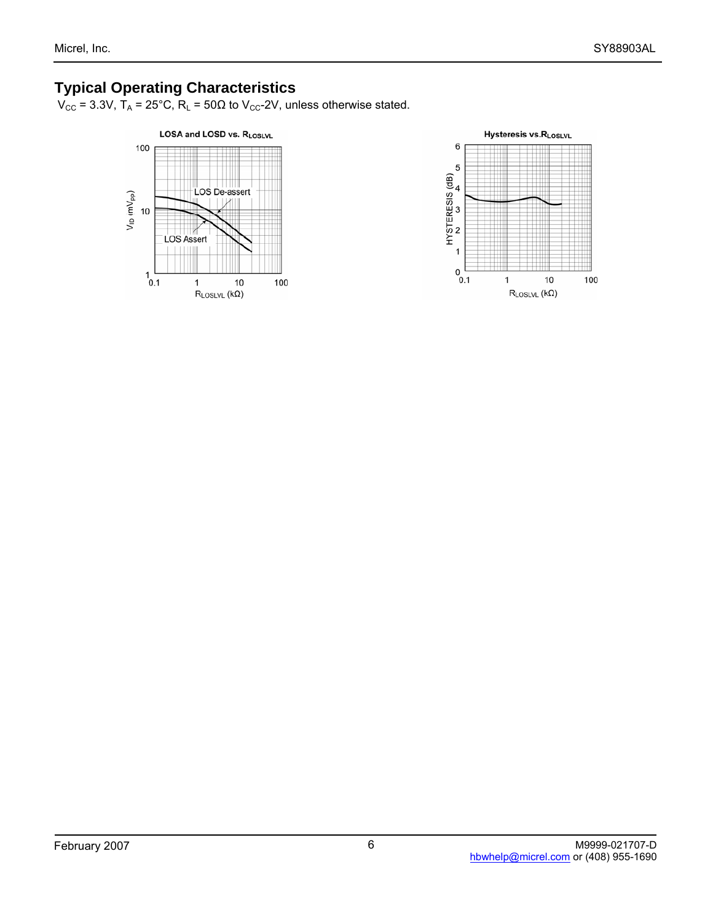### **Typical Operating Characteristics**

 $V_{\text{CC}}$  = 3.3V,  $T_A$  = 25°C,  $R_L$  = 50 $\Omega$  to  $V_{\text{CC}}$ -2V, unless otherwise stated.



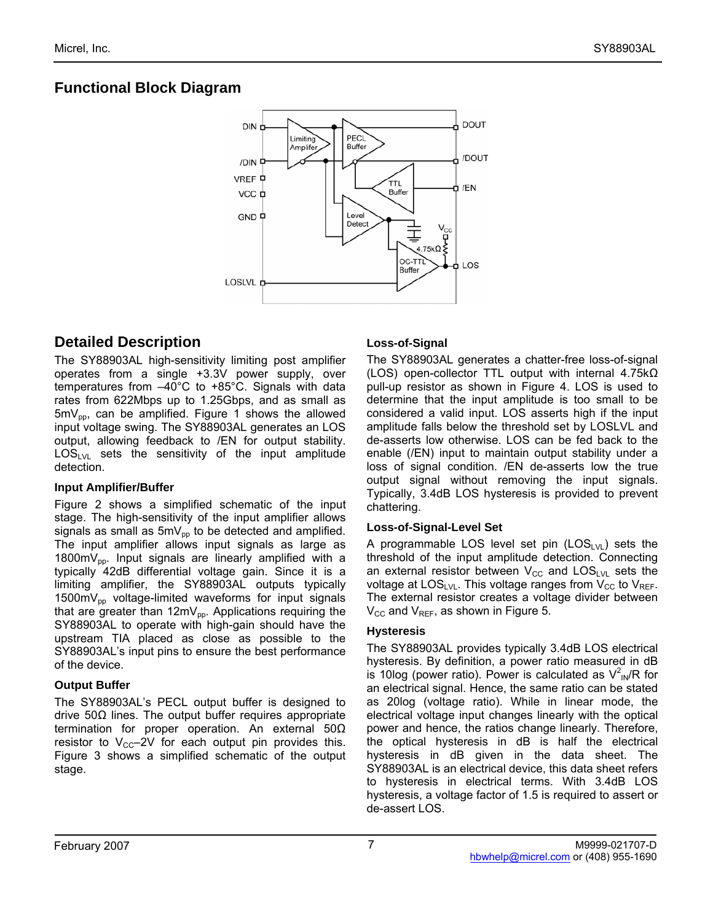## **Functional Block Diagram**



### **Detailed Description**

The SY88903AL high-sensitivity limiting post amplifier operates from a single +3.3V power supply, over temperatures from –40°C to +85°C. Signals with data rates from 622Mbps up to 1.25Gbps, and as small as  $5mV_{\text{po}}$ , can be amplified. Figure 1 shows the allowed input voltage swing. The SY88903AL generates an LOS output, allowing feedback to /EN for output stability.  $LOS_{LVL}$  sets the sensitivity of the input amplitude detection.

#### **Input Amplifier/Buffer**

Figure 2 shows a simplified schematic of the input stage. The high-sensitivity of the input amplifier allows signals as small as  $5mV_{op}$  to be detected and amplified. The input amplifier allows input signals as large as 1800m $V_{pp}$ . Input signals are linearly amplified with a typically 42dB differential voltage gain. Since it is a limiting amplifier, the SY88903AL outputs typically  $1500 \text{mV}_{\text{op}}$  voltage-limited waveforms for input signals that are greater than  $12mV_{pp}$ . Applications requiring the SY88903AL to operate with high-gain should have the upstream TIA placed as close as possible to the SY88903AL's input pins to ensure the best performance of the device.

### **Output Buffer**

The SY88903AL's PECL output buffer is designed to drive 50Ω lines. The output buffer requires appropriate termination for proper operation. An external 50Ω resistor to  $V_{\text{CC}}-2V$  for each output pin provides this. Figure 3 shows a simplified schematic of the output stage.

### **Loss-of-Signal**

The SY88903AL generates a chatter-free loss-of-signal (LOS) open-collector TTL output with internal 4.75kΩ pull-up resistor as shown in Figure 4. LOS is used to determine that the input amplitude is too small to be considered a valid input. LOS asserts high if the input amplitude falls below the threshold set by LOSLVL and de-asserts low otherwise. LOS can be fed back to the enable (/EN) input to maintain output stability under a loss of signal condition. /EN de-asserts low the true output signal without removing the input signals. Typically, 3.4dB LOS hysteresis is provided to prevent chattering.

#### **Loss-of-Signal-Level Set**

A programmable LOS level set pin  $(LOS_{LVL})$  sets the threshold of the input amplitude detection. Connecting an external resistor between  $V_{CC}$  and  $LOS_{LVL}$  sets the voltage at  $LOS_{LVL}$ . This voltage ranges from  $V_{CC}$  to  $V_{REF}$ . The external resistor creates a voltage divider between  $V_{CC}$  and  $V_{REF}$ , as shown in Figure 5.

#### **Hysteresis**

The SY88903AL provides typically 3.4dB LOS electrical hysteresis. By definition, a power ratio measured in dB is 10log (power ratio). Power is calculated as  $V_{N}^{2}$ R for an electrical signal. Hence, the same ratio can be stated as 20log (voltage ratio). While in linear mode, the electrical voltage input changes linearly with the optical power and hence, the ratios change linearly. Therefore, the optical hysteresis in dB is half the electrical hysteresis in dB given in the data sheet. The SY88903AL is an electrical device, this data sheet refers to hysteresis in electrical terms. With 3.4dB LOS hysteresis, a voltage factor of 1.5 is required to assert or de-assert LOS.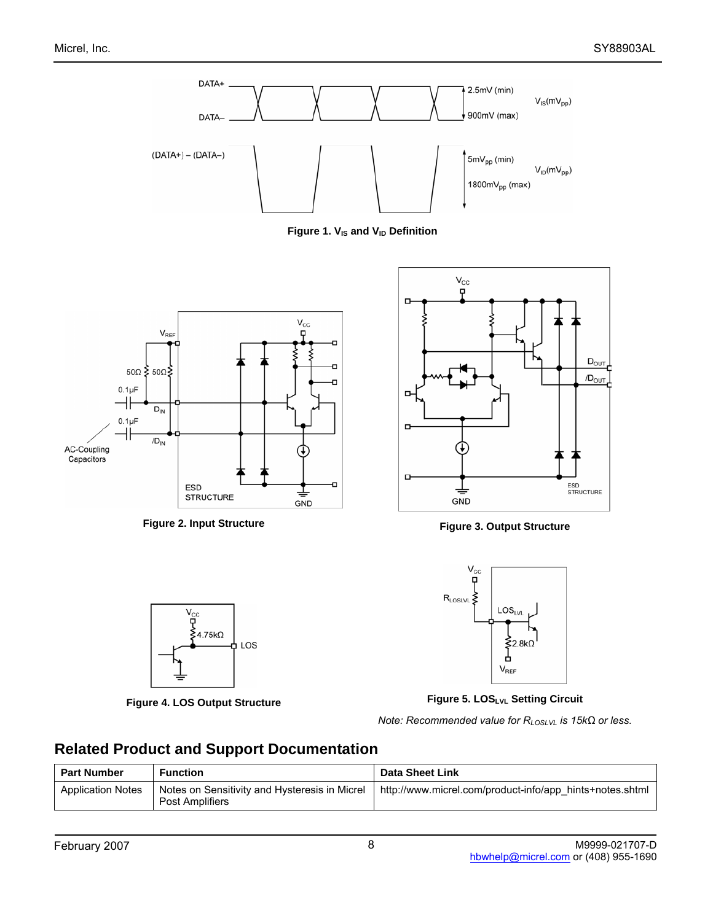





Figure 2. Input Structure **Figure 2. Input Structure Figure 3. Output Structure** 







**Figure 4. LOS Output Structure Figure 5. LOSLVL Setting Circuit** 

*Note: Recommended value for RLOSLVL is 15kΩ or less.*

### **Related Product and Support Documentation**

| <b>Part Number</b>       | <b>Function</b>                                                         | <b>Data Sheet Link</b>                                   |
|--------------------------|-------------------------------------------------------------------------|----------------------------------------------------------|
| <b>Application Notes</b> | Notes on Sensitivity and Hysteresis in Micrel<br><b>Post Amplifiers</b> | http://www.micrel.com/product-info/app hints+notes.shtml |